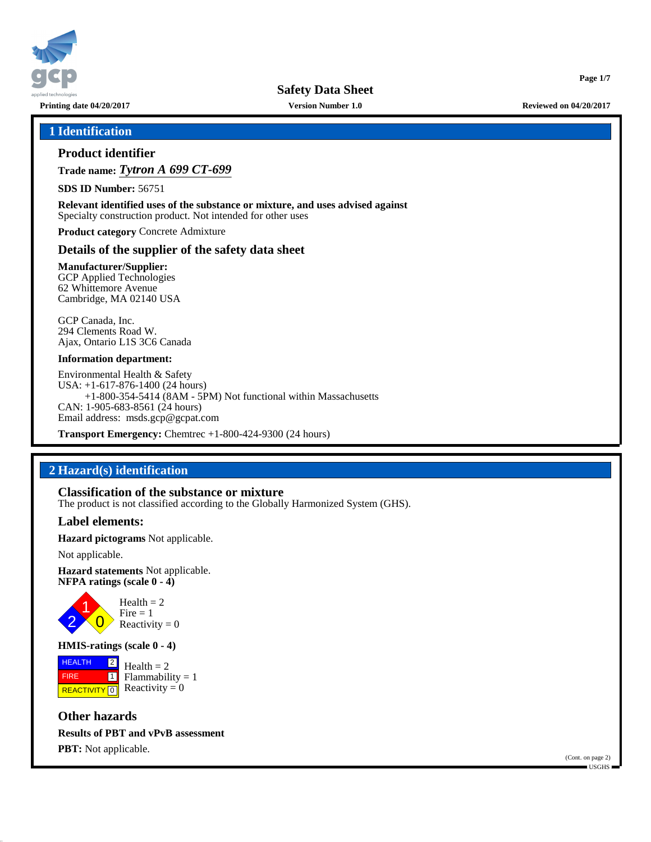

**Safety Data Sheet**

**Printing date 04/20/2017 Version Number 1.0 Reviewed on 04/20/2017**

**Page 1/7**

### **1 Identification**

### **Product identifier**

**Trade name:** *Tytron A 699 CT-699*

**SDS ID Number:** 56751

**Relevant identified uses of the substance or mixture, and uses advised against** Specialty construction product. Not intended for other uses

**Product category** Concrete Admixture

#### **Details of the supplier of the safety data sheet**

**Manufacturer/Supplier:** GCP Applied Technologies 62 Whittemore Avenue Cambridge, MA 02140 USA

GCP Canada, Inc. 294 Clements Road W. Ajax, Ontario L1S 3C6 Canada

#### **Information department:**

Environmental Health & Safety USA: +1-617-876-1400 (24 hours) +1-800-354-5414 (8AM - 5PM) Not functional within Massachusetts CAN: 1-905-683-8561 (24 hours) Email address: msds.gcp@gcpat.com

**Transport Emergency:** Chemtrec +1-800-424-9300 (24 hours)

### **2 Hazard(s) identification**

**Classification of the substance or mixture** The product is not classified according to the Globally Harmonized System (GHS).

#### **Label elements:**

**Hazard pictograms** Not applicable.

Not applicable.

**Hazard statements** Not applicable. **NFPA ratings (scale 0 - 4)**



**HMIS-ratings (scale 0 - 4)**

**HEALTH**  FIRE **REACTIVITY** 0  $\boxed{2}$  $\overline{\mathbf{1}}$  $Health = 2$  $Flammability = 1$ Reactivity  $= 0$ 

**Other hazards Results of PBT and vPvB assessment PBT:** Not applicable.

(Cont. on page 2) USGHS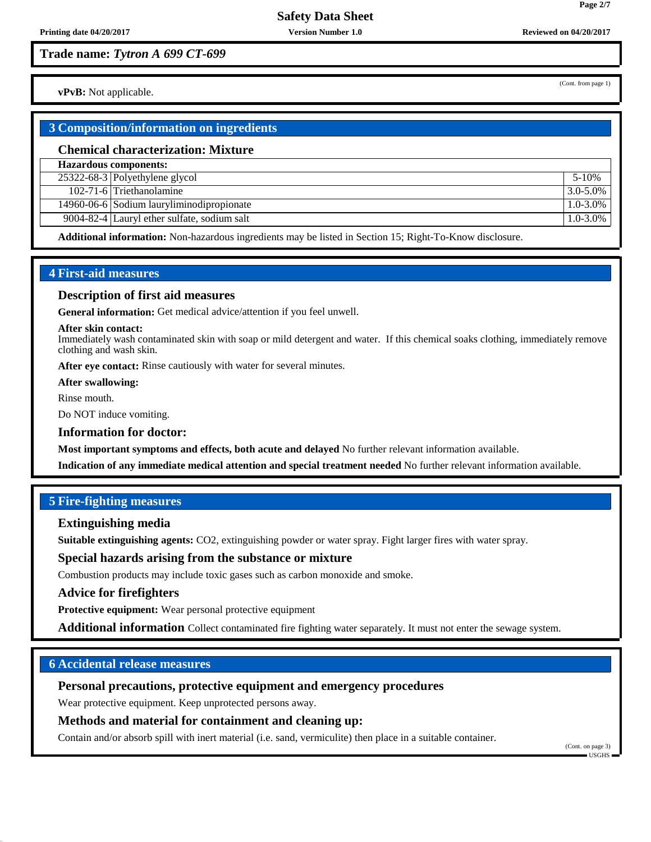(Cont. from page 1)

**Page 2/7**

**vPvB:** Not applicable.

### **3 Composition/information on ingredients**

#### **Chemical characterization: Mixture**

**Hazardous components:**

25322-68-3 Polyethylene glycol 5-10% 102-71-6 Triethanolamine 3.0-5.0%

14960-06-6 Sodium lauryliminodipropionate 1.0-3.0%

9004-82-4 Lauryl ether sulfate, sodium salt 1.0-3.0%

**Additional information:** Non-hazardous ingredients may be listed in Section 15; Right-To-Know disclosure.

### **4 First-aid measures**

#### **Description of first aid measures**

**General information:** Get medical advice/attention if you feel unwell.

#### **After skin contact:**

Immediately wash contaminated skin with soap or mild detergent and water. If this chemical soaks clothing, immediately remove clothing and wash skin.

**After eye contact:** Rinse cautiously with water for several minutes.

**After swallowing:**

Rinse mouth.

Do NOT induce vomiting.

#### **Information for doctor:**

**Most important symptoms and effects, both acute and delayed** No further relevant information available.

**Indication of any immediate medical attention and special treatment needed** No further relevant information available.

### **5 Fire-fighting measures**

#### **Extinguishing media**

**Suitable extinguishing agents:** CO2, extinguishing powder or water spray. Fight larger fires with water spray.

#### **Special hazards arising from the substance or mixture**

Combustion products may include toxic gases such as carbon monoxide and smoke.

#### **Advice for firefighters**

**Protective equipment:** Wear personal protective equipment

**Additional information** Collect contaminated fire fighting water separately. It must not enter the sewage system.

### **6 Accidental release measures**

### **Personal precautions, protective equipment and emergency procedures**

Wear protective equipment. Keep unprotected persons away.

### **Methods and material for containment and cleaning up:**

Contain and/or absorb spill with inert material (i.e. sand, vermiculite) then place in a suitable container.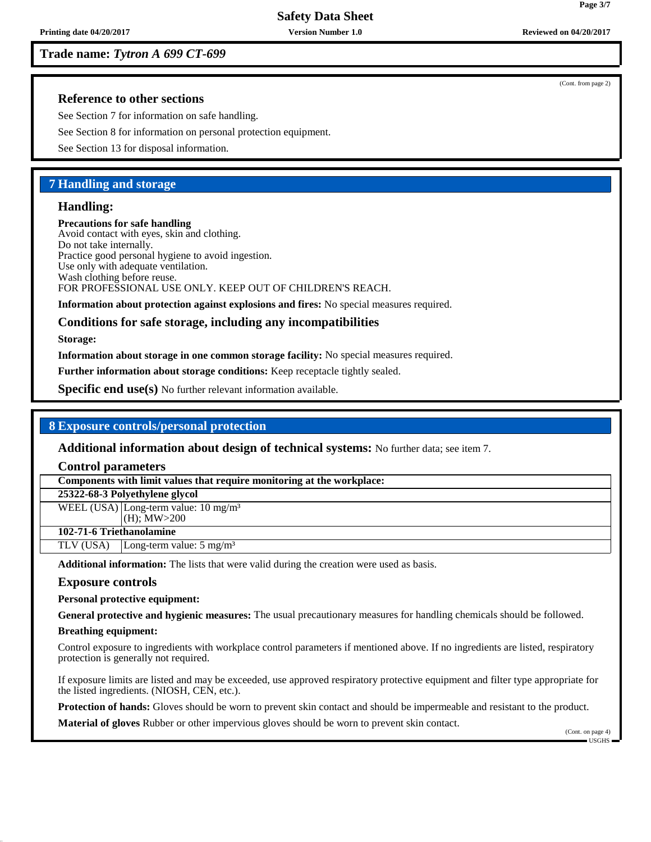#### (Cont. from page 2)

**Page 3/7**

### **Reference to other sections**

See Section 7 for information on safe handling.

See Section 8 for information on personal protection equipment.

See Section 13 for disposal information.

### **7 Handling and storage**

#### **Handling:**

**Precautions for safe handling** Avoid contact with eyes, skin and clothing. Do not take internally. Practice good personal hygiene to avoid ingestion. Use only with adequate ventilation. Wash clothing before reuse. FOR PROFESSIONAL USE ONLY. KEEP OUT OF CHILDREN'S REACH.

**Information about protection against explosions and fires:** No special measures required.

#### **Conditions for safe storage, including any incompatibilities**

**Storage:**

**Information about storage in one common storage facility:** No special measures required.

**Further information about storage conditions:** Keep receptacle tightly sealed.

**Specific end use(s)** No further relevant information available.

#### **8 Exposure controls/personal protection**

**Additional information about design of technical systems:** No further data; see item 7.

#### **Control parameters**

**Components with limit values that require monitoring at the workplace:**

#### **25322-68-3 Polyethylene glycol**

WEEL (USA) Long-term value:  $10 \text{ mg/m}^3$ (H); MW>200

### **102-71-6 Triethanolamine**

TLV (USA) Long-term value:  $5 \text{ mg/m}^3$ 

**Additional information:** The lists that were valid during the creation were used as basis.

#### **Exposure controls**

**Personal protective equipment:**

**General protective and hygienic measures:** The usual precautionary measures for handling chemicals should be followed.

#### **Breathing equipment:**

Control exposure to ingredients with workplace control parameters if mentioned above. If no ingredients are listed, respiratory protection is generally not required.

If exposure limits are listed and may be exceeded, use approved respiratory protective equipment and filter type appropriate for the listed ingredients. (NIOSH, CEN, etc.).

**Protection of hands:** Gloves should be worn to prevent skin contact and should be impermeable and resistant to the product.

**Material of gloves** Rubber or other impervious gloves should be worn to prevent skin contact.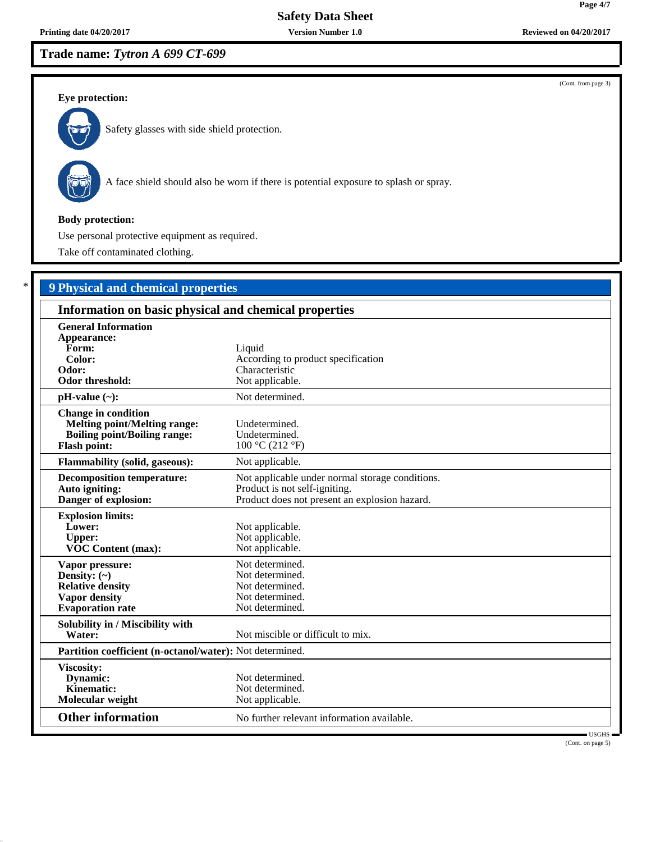# **Safety Data Sheet**

## **Trade name:** *Tytron A 699 CT-699*

### (Cont. from page 3)

**Page 4/7**

#### **Eye protection:**



Safety glasses with side shield protection.



A face shield should also be worn if there is potential exposure to splash or spray.

#### **Body protection:**

Use personal protective equipment as required.

Take off contaminated clothing.

# \* **9 Physical and chemical properties**

| Information on basic physical and chemical properties                                                                           |                                                                                                                                   |  |
|---------------------------------------------------------------------------------------------------------------------------------|-----------------------------------------------------------------------------------------------------------------------------------|--|
| <b>General Information</b><br>Appearance:<br>Form:<br>Color:<br>Odor:<br>Odor threshold:                                        | Liquid<br>According to product specification<br>Characteristic<br>Not applicable.                                                 |  |
| $pH-value (\sim):$                                                                                                              | Not determined.                                                                                                                   |  |
| <b>Change in condition</b><br><b>Melting point/Melting range:</b><br><b>Boiling point/Boiling range:</b><br><b>Flash point:</b> | Undetermined.<br>Undetermined.<br>100 °C (212 °F)                                                                                 |  |
| <b>Flammability (solid, gaseous):</b>                                                                                           | Not applicable.                                                                                                                   |  |
| <b>Decomposition temperature:</b><br>Auto igniting:<br>Danger of explosion:                                                     | Not applicable under normal storage conditions.<br>Product is not self-igniting.<br>Product does not present an explosion hazard. |  |
| <b>Explosion limits:</b><br>Lower:<br><b>Upper:</b><br><b>VOC Content (max):</b>                                                | Not applicable.<br>Not applicable.<br>Not applicable.                                                                             |  |
| Vapor pressure:<br>Density: $(\sim)$<br><b>Relative density</b><br><b>Vapor density</b><br><b>Evaporation</b> rate              | Not determined.<br>Not determined.<br>Not determined.<br>Not determined.<br>Not determined.                                       |  |
| Solubility in / Miscibility with<br>Water:                                                                                      | Not miscible or difficult to mix.                                                                                                 |  |
| Partition coefficient (n-octanol/water): Not determined.                                                                        |                                                                                                                                   |  |
| Viscosity:<br>Dynamic:<br>Kinematic:<br>Molecular weight                                                                        | Not determined.<br>Not determined.<br>Not applicable.                                                                             |  |
| <b>Other information</b>                                                                                                        | No further relevant information available.                                                                                        |  |

 USGHS (Cont. on page 5)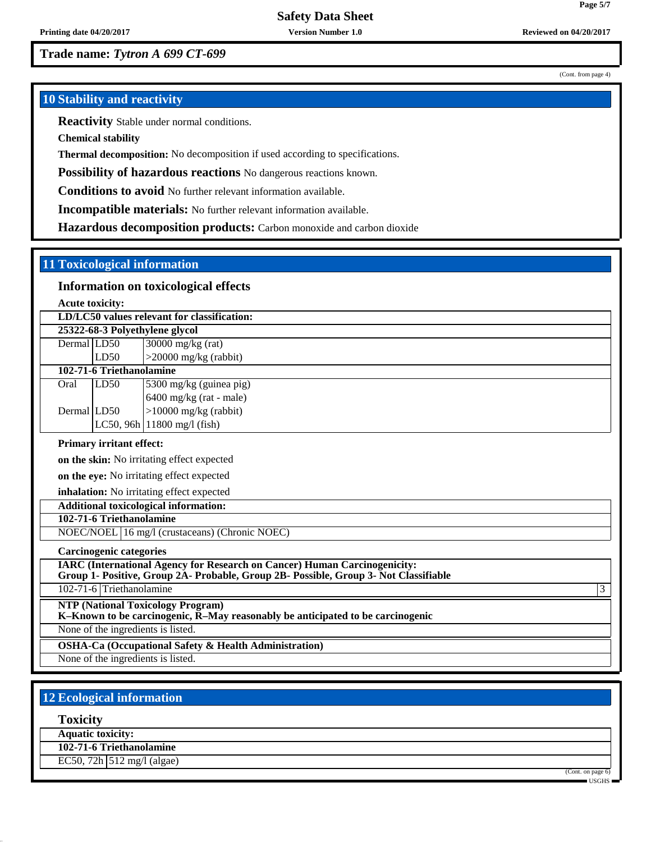(Cont. from page 4)

**Page 5/7**

### **10 Stability and reactivity**

**Reactivity** Stable under normal conditions.

**Chemical stability**

**Thermal decomposition:** No decomposition if used according to specifications.

**Possibility of hazardous reactions** No dangerous reactions known.

**Conditions to avoid** No further relevant information available.

**Incompatible materials:** No further relevant information available.

**Hazardous decomposition products:** Carbon monoxide and carbon dioxide

### **11 Toxicological information**

### **Information on toxicological effects**

**Acute toxicity:**

|                                | LD/LC50 values relevant for classification: |                               |  |  |
|--------------------------------|---------------------------------------------|-------------------------------|--|--|
| 25322-68-3 Polyethylene glycol |                                             |                               |  |  |
| Dermal LD50                    |                                             | $30000$ mg/kg (rat)           |  |  |
|                                | LD50                                        | $>20000$ mg/kg (rabbit)       |  |  |
| 102-71-6 Triethanolamine       |                                             |                               |  |  |
| Oral                           | LD50                                        | 5300 mg/kg (guinea pig)       |  |  |
|                                |                                             | $6400$ mg/kg (rat - male)     |  |  |
| Dermal LD50                    |                                             | $>10000$ mg/kg (rabbit)       |  |  |
|                                |                                             | LC50, 96h $11800$ mg/l (fish) |  |  |

### **Primary irritant effect:**

**on the skin:** No irritating effect expected

**on the eye:** No irritating effect expected

**inhalation:** No irritating effect expected

# **Additional toxicological information:**

**102-71-6 Triethanolamine**

NOEC/NOEL 16 mg/l (crustaceans) (Chronic NOEC)

**Carcinogenic categories**

**IARC (International Agency for Research on Cancer) Human Carcinogenicity: Group 1- Positive, Group 2A- Probable, Group 2B- Possible, Group 3- Not Classifiable**

102-71-6 Triethanolamine 3

**NTP (National Toxicology Program)**

**K–Known to be carcinogenic, R–May reasonably be anticipated to be carcinogenic**

None of the ingredients is listed.

**OSHA-Ca (Occupational Safety & Health Administration)**

None of the ingredients is listed.

### **12 Ecological information**

**Toxicity**

**Aquatic toxicity:**

**102-71-6 Triethanolamine** EC50, 72h 512 mg/l (algae)

(Cont. on page 6)

USGHS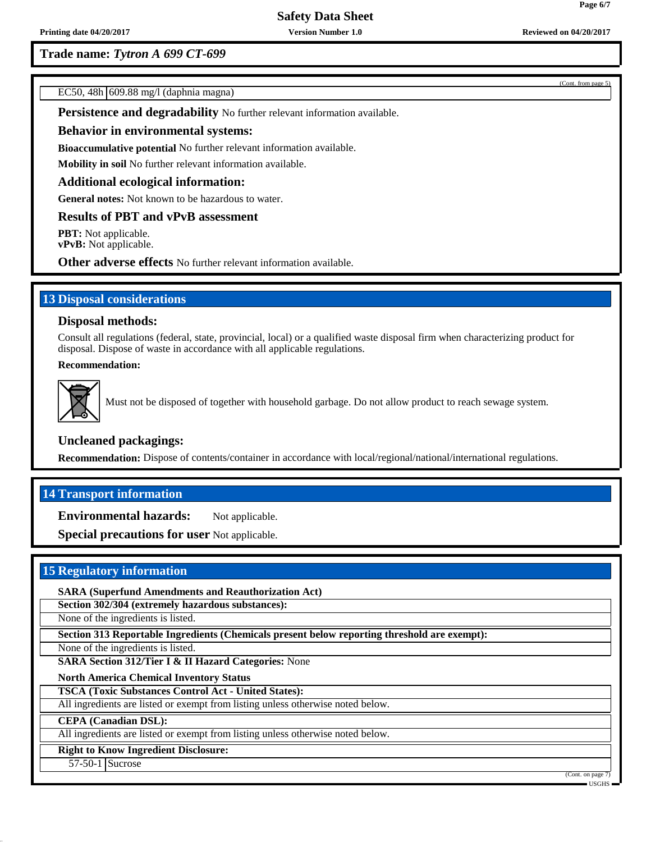(Cont. from page 5)

EC50, 48h 609.88 mg/l (daphnia magna)

**Persistence and degradability** No further relevant information available.

#### **Behavior in environmental systems:**

**Bioaccumulative potential** No further relevant information available.

**Mobility in soil** No further relevant information available.

#### **Additional ecological information:**

**General notes:** Not known to be hazardous to water.

### **Results of PBT and vPvB assessment**

**PBT:** Not applicable.

**vPvB:** Not applicable.

**Other adverse effects** No further relevant information available.

### **13 Disposal considerations**

### **Disposal methods:**

Consult all regulations (federal, state, provincial, local) or a qualified waste disposal firm when characterizing product for disposal. Dispose of waste in accordance with all applicable regulations.

#### **Recommendation:**



Must not be disposed of together with household garbage. Do not allow product to reach sewage system.

### **Uncleaned packagings:**

**Recommendation:** Dispose of contents/container in accordance with local/regional/national/international regulations.

### **14 Transport information**

**Environmental hazards:** Not applicable.

**Special precautions for user** Not applicable.

### **15 Regulatory information**

**SARA (Superfund Amendments and Reauthorization Act)**

**Section 302/304 (extremely hazardous substances):**

None of the ingredients is listed.

**Section 313 Reportable Ingredients (Chemicals present below reporting threshold are exempt):**

None of the ingredients is listed.

**SARA Section 312/Tier I & II Hazard Categories:** None

**North America Chemical Inventory Status**

**TSCA (Toxic Substances Control Act - United States):**

All ingredients are listed or exempt from listing unless otherwise noted below.

**CEPA (Canadian DSL):**

All ingredients are listed or exempt from listing unless otherwise noted below.

**Right to Know Ingredient Disclosure:**

57-50-1 Sucrose

(Cont. on page USGHS

**Page 6/7**